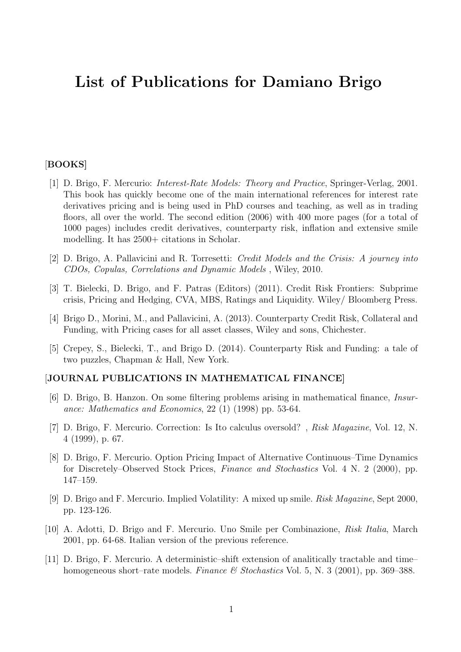# List of Publications for Damiano Brigo

## [BOOKS]

- [1] D. Brigo, F. Mercurio: Interest-Rate Models: Theory and Practice, Springer-Verlag, 2001. This book has quickly become one of the main international references for interest rate derivatives pricing and is being used in PhD courses and teaching, as well as in trading floors, all over the world. The second edition (2006) with 400 more pages (for a total of 1000 pages) includes credit derivatives, counterparty risk, inflation and extensive smile modelling. It has 2500+ citations in Scholar.
- [2] D. Brigo, A. Pallavicini and R. Torresetti: Credit Models and the Crisis: A journey into CDOs, Copulas, Correlations and Dynamic Models , Wiley, 2010.
- [3] T. Bielecki, D. Brigo, and F. Patras (Editors) (2011). Credit Risk Frontiers: Subprime crisis, Pricing and Hedging, CVA, MBS, Ratings and Liquidity. Wiley/ Bloomberg Press.
- [4] Brigo D., Morini, M., and Pallavicini, A. (2013). Counterparty Credit Risk, Collateral and Funding, with Pricing cases for all asset classes, Wiley and sons, Chichester.
- [5] Crepey, S., Bielecki, T., and Brigo D. (2014). Counterparty Risk and Funding: a tale of two puzzles, Chapman & Hall, New York.

### [JOURNAL PUBLICATIONS IN MATHEMATICAL FINANCE]

- [6] D. Brigo, B. Hanzon. On some filtering problems arising in mathematical finance, Insurance: Mathematics and Economics, 22 (1) (1998) pp. 53-64.
- [7] D. Brigo, F. Mercurio. Correction: Is Ito calculus oversold? , Risk Magazine, Vol. 12, N. 4 (1999), p. 67.
- [8] D. Brigo, F. Mercurio. Option Pricing Impact of Alternative Continuous–Time Dynamics for Discretely–Observed Stock Prices, Finance and Stochastics Vol. 4 N. 2 (2000), pp. 147–159.
- [9] D. Brigo and F. Mercurio. Implied Volatility: A mixed up smile. Risk Magazine, Sept 2000, pp. 123-126.
- [10] A. Adotti, D. Brigo and F. Mercurio. Uno Smile per Combinazione, Risk Italia, March 2001, pp. 64-68. Italian version of the previous reference.
- [11] D. Brigo, F. Mercurio. A deterministic–shift extension of analitically tractable and time– homogeneous short–rate models. Finance & Stochastics Vol. 5, N. 3 (2001), pp. 369–388.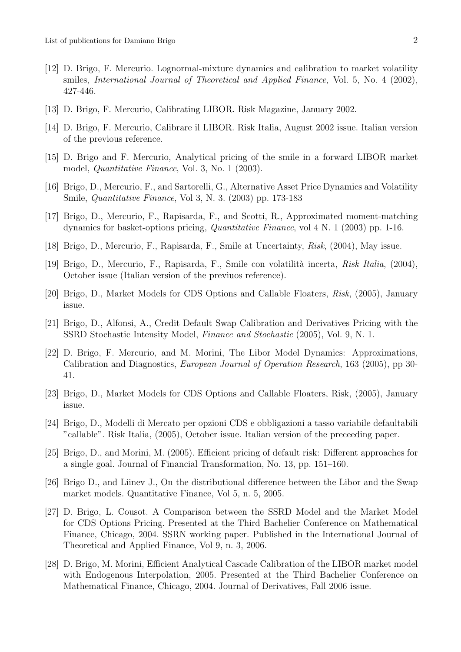- [12] D. Brigo, F. Mercurio. Lognormal-mixture dynamics and calibration to market volatility smiles, International Journal of Theoretical and Applied Finance, Vol. 5, No. 4 (2002), 427-446.
- [13] D. Brigo, F. Mercurio, Calibrating LIBOR. Risk Magazine, January 2002.
- [14] D. Brigo, F. Mercurio, Calibrare il LIBOR. Risk Italia, August 2002 issue. Italian version of the previous reference.
- [15] D. Brigo and F. Mercurio, Analytical pricing of the smile in a forward LIBOR market model, Quantitative Finance, Vol. 3, No. 1 (2003).
- [16] Brigo, D., Mercurio, F., and Sartorelli, G., Alternative Asset Price Dynamics and Volatility Smile, Quantitative Finance, Vol 3, N. 3. (2003) pp. 173-183
- [17] Brigo, D., Mercurio, F., Rapisarda, F., and Scotti, R., Approximated moment-matching dynamics for basket-options pricing, Quantitative Finance, vol 4 N. 1 (2003) pp. 1-16.
- [18] Brigo, D., Mercurio, F., Rapisarda, F., Smile at Uncertainty, Risk, (2004), May issue.
- [19] Brigo, D., Mercurio, F., Rapisarda, F., Smile con volatilità incerta, Risk Italia, (2004), October issue (Italian version of the previuos reference).
- [20] Brigo, D., Market Models for CDS Options and Callable Floaters, Risk, (2005), January issue.
- [21] Brigo, D., Alfonsi, A., Credit Default Swap Calibration and Derivatives Pricing with the SSRD Stochastic Intensity Model, Finance and Stochastic (2005), Vol. 9, N. 1.
- [22] D. Brigo, F. Mercurio, and M. Morini, The Libor Model Dynamics: Approximations, Calibration and Diagnostics, European Journal of Operation Research, 163 (2005), pp 30- 41.
- [23] Brigo, D., Market Models for CDS Options and Callable Floaters, Risk, (2005), January issue.
- [24] Brigo, D., Modelli di Mercato per opzioni CDS e obbligazioni a tasso variabile defaultabili "callable". Risk Italia, (2005), October issue. Italian version of the preceeding paper.
- [25] Brigo, D., and Morini, M. (2005). Efficient pricing of default risk: Different approaches for a single goal. Journal of Financial Transformation, No. 13, pp. 151–160.
- [26] Brigo D., and Liinev J., On the distributional difference between the Libor and the Swap market models. Quantitative Finance, Vol 5, n. 5, 2005.
- [27] D. Brigo, L. Cousot. A Comparison between the SSRD Model and the Market Model for CDS Options Pricing. Presented at the Third Bachelier Conference on Mathematical Finance, Chicago, 2004. SSRN working paper. Published in the International Journal of Theoretical and Applied Finance, Vol 9, n. 3, 2006.
- [28] D. Brigo, M. Morini, Efficient Analytical Cascade Calibration of the LIBOR market model with Endogenous Interpolation, 2005. Presented at the Third Bachelier Conference on Mathematical Finance, Chicago, 2004. Journal of Derivatives, Fall 2006 issue.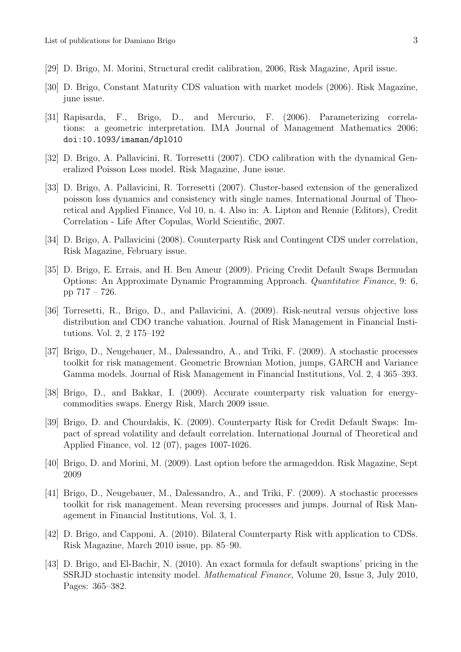- [29] D. Brigo, M. Morini, Structural credit calibration, 2006, Risk Magazine, April issue.
- [30] D. Brigo, Constant Maturity CDS valuation with market models (2006). Risk Magazine, june issue.
- [31] Rapisarda, F., Brigo, D., and Mercurio, F. (2006). Parameterizing correlations: a geometric interpretation. IMA Journal of Management Mathematics 2006; doi:10.1093/imaman/dpl010
- [32] D. Brigo, A. Pallavicini, R. Torresetti (2007). CDO calibration with the dynamical Generalized Poisson Loss model. Risk Magazine, June issue.
- [33] D. Brigo, A. Pallavicini, R. Torresetti (2007). Cluster-based extension of the generalized poisson loss dynamics and consistency with single names. International Journal of Theoretical and Applied Finance, Vol 10, n. 4. Also in: A. Lipton and Rennie (Editors), Credit Correlation - Life After Copulas, World Scientific, 2007.
- [34] D. Brigo, A. Pallavicini (2008). Counterparty Risk and Contingent CDS under correlation, Risk Magazine, February issue.
- [35] D. Brigo, E. Errais, and H. Ben Ameur (2009). Pricing Credit Default Swaps Bermudan Options: An Approximate Dynamic Programming Approach. Quantitative Finance, 9: 6, pp 717 – 726.
- [36] Torresetti, R., Brigo, D., and Pallavicini, A. (2009). Risk-neutral versus objective loss distribution and CDO tranche valuation. Journal of Risk Management in Financial Institutions. Vol. 2, 2 175–192
- [37] Brigo, D., Neugebauer, M., Dalessandro, A., and Triki, F. (2009). A stochastic processes toolkit for risk management. Geometric Brownian Motion, jumps, GARCH and Variance Gamma models. Journal of Risk Management in Financial Institutions, Vol. 2, 4 365–393.
- [38] Brigo, D., and Bakkar, I. (2009). Accurate counterparty risk valuation for energycommodities swaps. Energy Risk, March 2009 issue.
- [39] Brigo, D. and Chourdakis, K. (2009). Counterparty Risk for Credit Default Swaps: Impact of spread volatility and default correlation. International Journal of Theoretical and Applied Finance, vol. 12 (07), pages 1007-1026.
- [40] Brigo, D. and Morini, M. (2009). Last option before the armageddon. Risk Magazine, Sept 2009
- [41] Brigo, D., Neugebauer, M., Dalessandro, A., and Triki, F. (2009). A stochastic processes toolkit for risk management. Mean reversing processes and jumps. Journal of Risk Management in Financial Institutions, Vol. 3, 1.
- [42] D. Brigo, and Capponi, A. (2010). Bilateral Counterparty Risk with application to CDSs. Risk Magazine, March 2010 issue, pp. 85–90.
- [43] D. Brigo, and El-Bachir, N. (2010). An exact formula for default swaptions' pricing in the SSRJD stochastic intensity model. Mathematical Finance, Volume 20, Issue 3, July 2010, Pages: 365–382.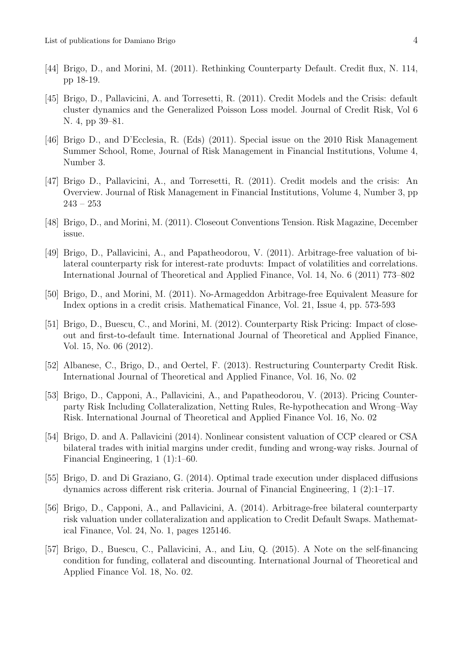- [44] Brigo, D., and Morini, M. (2011). Rethinking Counterparty Default. Credit flux, N. 114, pp 18-19.
- [45] Brigo, D., Pallavicini, A. and Torresetti, R. (2011). Credit Models and the Crisis: default cluster dynamics and the Generalized Poisson Loss model. Journal of Credit Risk, Vol 6 N. 4, pp 39–81.
- [46] Brigo D., and D'Ecclesia, R. (Eds) (2011). Special issue on the 2010 Risk Management Summer School, Rome, Journal of Risk Management in Financial Institutions, Volume 4, Number 3.
- [47] Brigo D., Pallavicini, A., and Torresetti, R. (2011). Credit models and the crisis: An Overview. Journal of Risk Management in Financial Institutions, Volume 4, Number 3, pp  $243 - 253$
- [48] Brigo, D., and Morini, M. (2011). Closeout Conventions Tension. Risk Magazine, December issue.
- [49] Brigo, D., Pallavicini, A., and Papatheodorou, V. (2011). Arbitrage-free valuation of bilateral counterparty risk for interest-rate produvts: Impact of volatilities and correlations. International Journal of Theoretical and Applied Finance, Vol. 14, No. 6 (2011) 773–802
- [50] Brigo, D., and Morini, M. (2011). No-Armageddon Arbitrage-free Equivalent Measure for Index options in a credit crisis. Mathematical Finance, Vol. 21, Issue 4, pp. 573-593
- [51] Brigo, D., Buescu, C., and Morini, M. (2012). Counterparty Risk Pricing: Impact of closeout and first-to-default time. International Journal of Theoretical and Applied Finance, Vol. 15, No. 06 (2012).
- [52] Albanese, C., Brigo, D., and Oertel, F. (2013). Restructuring Counterparty Credit Risk. International Journal of Theoretical and Applied Finance, Vol. 16, No. 02
- [53] Brigo, D., Capponi, A., Pallavicini, A., and Papatheodorou, V. (2013). Pricing Counterparty Risk Including Collateralization, Netting Rules, Re-hypothecation and Wrong–Way Risk. International Journal of Theoretical and Applied Finance Vol. 16, No. 02
- [54] Brigo, D. and A. Pallavicini (2014). Nonlinear consistent valuation of CCP cleared or CSA bilateral trades with initial margins under credit, funding and wrong-way risks. Journal of Financial Engineering, 1 (1):1–60.
- [55] Brigo, D. and Di Graziano, G. (2014). Optimal trade execution under displaced diffusions dynamics across different risk criteria. Journal of Financial Engineering, 1 (2):1–17.
- [56] Brigo, D., Capponi, A., and Pallavicini, A. (2014). Arbitrage-free bilateral counterparty risk valuation under collateralization and application to Credit Default Swaps. Mathematical Finance, Vol. 24, No. 1, pages 125146.
- [57] Brigo, D., Buescu, C., Pallavicini, A., and Liu, Q. (2015). A Note on the self-financing condition for funding, collateral and discounting. International Journal of Theoretical and Applied Finance Vol. 18, No. 02.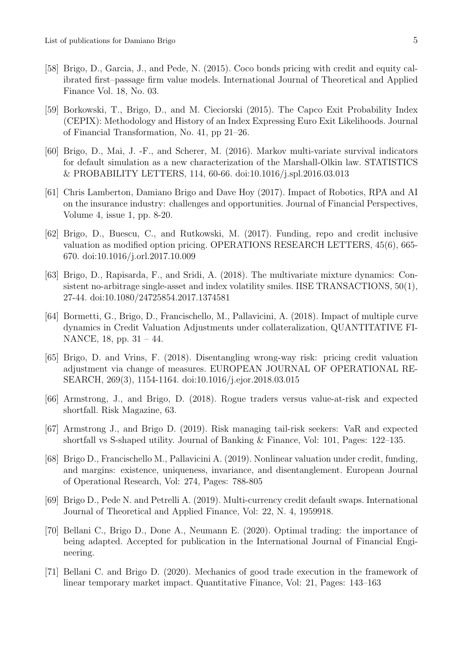- [58] Brigo, D., Garcia, J., and Pede, N. (2015). Coco bonds pricing with credit and equity calibrated first–passage firm value models. International Journal of Theoretical and Applied Finance Vol. 18, No. 03.
- [59] Borkowski, T., Brigo, D., and M. Cieciorski (2015). The Capco Exit Probability Index (CEPIX): Methodology and History of an Index Expressing Euro Exit Likelihoods. Journal of Financial Transformation, No. 41, pp 21–26.
- [60] Brigo, D., Mai, J. -F., and Scherer, M. (2016). Markov multi-variate survival indicators for default simulation as a new characterization of the Marshall-Olkin law. STATISTICS & PROBABILITY LETTERS, 114, 60-66. doi:10.1016/j.spl.2016.03.013
- [61] Chris Lamberton, Damiano Brigo and Dave Hoy (2017). Impact of Robotics, RPA and AI on the insurance industry: challenges and opportunities. Journal of Financial Perspectives, Volume 4, issue 1, pp. 8-20.
- [62] Brigo, D., Buescu, C., and Rutkowski, M. (2017). Funding, repo and credit inclusive valuation as modified option pricing. OPERATIONS RESEARCH LETTERS, 45(6), 665- 670. doi:10.1016/j.orl.2017.10.009
- [63] Brigo, D., Rapisarda, F., and Sridi, A. (2018). The multivariate mixture dynamics: Consistent no-arbitrage single-asset and index volatility smiles. IISE TRANSACTIONS, 50(1), 27-44. doi:10.1080/24725854.2017.1374581
- [64] Bormetti, G., Brigo, D., Francischello, M., Pallavicini, A. (2018). Impact of multiple curve dynamics in Credit Valuation Adjustments under collateralization, QUANTITATIVE FI-NANCE, 18, pp. 31 – 44.
- [65] Brigo, D. and Vrins, F. (2018). Disentangling wrong-way risk: pricing credit valuation adjustment via change of measures. EUROPEAN JOURNAL OF OPERATIONAL RE-SEARCH, 269(3), 1154-1164. doi:10.1016/j.ejor.2018.03.015
- [66] Armstrong, J., and Brigo, D. (2018). Rogue traders versus value-at-risk and expected shortfall. Risk Magazine, 63.
- [67] Armstrong J., and Brigo D. (2019). Risk managing tail-risk seekers: VaR and expected shortfall vs S-shaped utility. Journal of Banking & Finance, Vol: 101, Pages: 122–135.
- [68] Brigo D., Francischello M., Pallavicini A. (2019). Nonlinear valuation under credit, funding, and margins: existence, uniqueness, invariance, and disentanglement. European Journal of Operational Research, Vol: 274, Pages: 788-805
- [69] Brigo D., Pede N. and Petrelli A. (2019). Multi-currency credit default swaps. International Journal of Theoretical and Applied Finance, Vol: 22, N. 4, 1959918.
- [70] Bellani C., Brigo D., Done A., Neumann E. (2020). Optimal trading: the importance of being adapted. Accepted for publication in the International Journal of Financial Engineering.
- [71] Bellani C. and Brigo D. (2020). Mechanics of good trade execution in the framework of linear temporary market impact. Quantitative Finance, Vol: 21, Pages: 143–163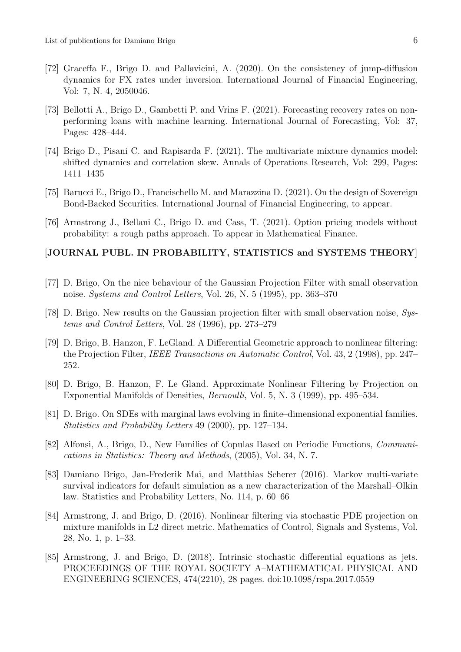- [72] Graceffa F., Brigo D. and Pallavicini, A. (2020). On the consistency of jump-diffusion dynamics for FX rates under inversion. International Journal of Financial Engineering, Vol: 7, N. 4, 2050046.
- [73] Bellotti A., Brigo D., Gambetti P. and Vrins F. (2021). Forecasting recovery rates on nonperforming loans with machine learning. International Journal of Forecasting, Vol: 37, Pages: 428–444.
- [74] Brigo D., Pisani C. and Rapisarda F. (2021). The multivariate mixture dynamics model: shifted dynamics and correlation skew. Annals of Operations Research, Vol: 299, Pages: 1411–1435
- [75] Barucci E., Brigo D., Francischello M. and Marazzina D. (2021). On the design of Sovereign Bond-Backed Securities. International Journal of Financial Engineering, to appear.
- [76] Armstrong J., Bellani C., Brigo D. and Cass, T. (2021). Option pricing models without probability: a rough paths approach. To appear in Mathematical Finance.

#### [JOURNAL PUBL. IN PROBABILITY, STATISTICS and SYSTEMS THEORY]

- [77] D. Brigo, On the nice behaviour of the Gaussian Projection Filter with small observation noise. Systems and Control Letters, Vol. 26, N. 5 (1995), pp. 363–370
- [78] D. Brigo. New results on the Gaussian projection filter with small observation noise, Systems and Control Letters, Vol. 28 (1996), pp. 273–279
- [79] D. Brigo, B. Hanzon, F. LeGland. A Differential Geometric approach to nonlinear filtering: the Projection Filter, IEEE Transactions on Automatic Control, Vol. 43, 2 (1998), pp. 247– 252.
- [80] D. Brigo, B. Hanzon, F. Le Gland. Approximate Nonlinear Filtering by Projection on Exponential Manifolds of Densities, Bernoulli, Vol. 5, N. 3 (1999), pp. 495–534.
- [81] D. Brigo. On SDEs with marginal laws evolving in finite–dimensional exponential families. Statistics and Probability Letters 49 (2000), pp. 127–134.
- [82] Alfonsi, A., Brigo, D., New Families of Copulas Based on Periodic Functions, Communications in Statistics: Theory and Methods, (2005), Vol. 34, N. 7.
- [83] Damiano Brigo, Jan-Frederik Mai, and Matthias Scherer (2016). Markov multi-variate survival indicators for default simulation as a new characterization of the Marshall–Olkin law. Statistics and Probability Letters, No. 114, p. 60–66
- [84] Armstrong, J. and Brigo, D. (2016). Nonlinear filtering via stochastic PDE projection on mixture manifolds in L2 direct metric. Mathematics of Control, Signals and Systems, Vol. 28, No. 1, p. 1–33.
- [85] Armstrong, J. and Brigo, D. (2018). Intrinsic stochastic differential equations as jets. PROCEEDINGS OF THE ROYAL SOCIETY A–MATHEMATICAL PHYSICAL AND ENGINEERING SCIENCES, 474(2210), 28 pages. doi:10.1098/rspa.2017.0559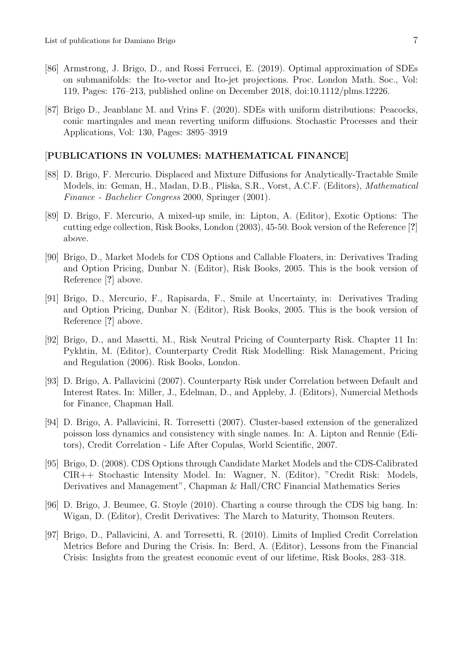- [86] Armstrong, J. Brigo, D., and Rossi Ferrucci, E. (2019). Optimal approximation of SDEs on submanifolds: the Ito-vector and Ito-jet projections. Proc. London Math. Soc., Vol: 119, Pages: 176–213, published online on December 2018, doi:10.1112/plms.12226.
- [87] Brigo D., Jeanblanc M. and Vrins F. (2020). SDEs with uniform distributions: Peacocks, conic martingales and mean reverting uniform diffusions. Stochastic Processes and their Applications, Vol: 130, Pages: 3895–3919

#### [PUBLICATIONS IN VOLUMES: MATHEMATICAL FINANCE]

- [88] D. Brigo, F. Mercurio. Displaced and Mixture Diffusions for Analytically-Tractable Smile Models, in: Geman, H., Madan, D.B., Pliska, S.R., Vorst, A.C.F. (Editors), Mathematical Finance - Bachelier Congress 2000, Springer (2001).
- [89] D. Brigo, F. Mercurio, A mixed-up smile, in: Lipton, A. (Editor), Exotic Options: The cutting edge collection, Risk Books, London (2003), 45-50. Book version of the Reference [?] above.
- [90] Brigo, D., Market Models for CDS Options and Callable Floaters, in: Derivatives Trading and Option Pricing, Dunbar N. (Editor), Risk Books, 2005. This is the book version of Reference [?] above.
- [91] Brigo, D., Mercurio, F., Rapisarda, F., Smile at Uncertainty, in: Derivatives Trading and Option Pricing, Dunbar N. (Editor), Risk Books, 2005. This is the book version of Reference [?] above.
- [92] Brigo, D., and Masetti, M., Risk Neutral Pricing of Counterparty Risk. Chapter 11 In: Pykhtin, M. (Editor), Counterparty Credit Risk Modelling: Risk Management, Pricing and Regulation (2006). Risk Books, London.
- [93] D. Brigo, A. Pallavicini (2007). Counterparty Risk under Correlation between Default and Interest Rates. In: Miller, J., Edelman, D., and Appleby, J. (Editors), Numercial Methods for Finance, Chapman Hall.
- [94] D. Brigo, A. Pallavicini, R. Torresetti (2007). Cluster-based extension of the generalized poisson loss dynamics and consistency with single names. In: A. Lipton and Rennie (Editors), Credit Correlation - Life After Copulas, World Scientific, 2007.
- [95] Brigo, D. (2008). CDS Options through Candidate Market Models and the CDS-Calibrated CIR++ Stochastic Intensity Model. In: Wagner, N. (Editor), "Credit Risk: Models, Derivatives and Management", Chapman & Hall/CRC Financial Mathematics Series
- [96] D. Brigo, J. Beumee, G. Stoyle (2010). Charting a course through the CDS big bang. In: Wigan, D. (Editor), Credit Derivatives: The March to Maturity, Thomson Reuters.
- [97] Brigo, D., Pallavicini, A. and Torresetti, R. (2010). Limits of Implied Credit Correlation Metrics Before and During the Crisis. In: Berd, A. (Editor), Lessons from the Financial Crisis: Insights from the greatest economic event of our lifetime, Risk Books, 283–318.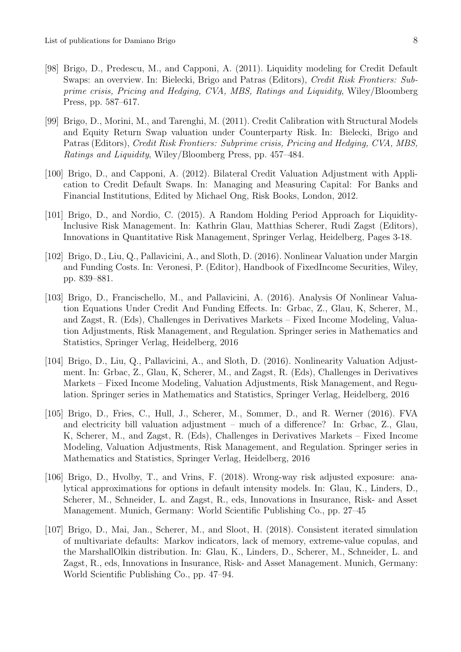- [98] Brigo, D., Predescu, M., and Capponi, A. (2011). Liquidity modeling for Credit Default Swaps: an overview. In: Bielecki, Brigo and Patras (Editors), Credit Risk Frontiers: Subprime crisis, Pricing and Hedging, CVA, MBS, Ratings and Liquidity, Wiley/Bloomberg Press, pp. 587–617.
- [99] Brigo, D., Morini, M., and Tarenghi, M. (2011). Credit Calibration with Structural Models and Equity Return Swap valuation under Counterparty Risk. In: Bielecki, Brigo and Patras (Editors), Credit Risk Frontiers: Subprime crisis, Pricing and Hedging, CVA, MBS, Ratings and Liquidity, Wiley/Bloomberg Press, pp. 457–484.
- [100] Brigo, D., and Capponi, A. (2012). Bilateral Credit Valuation Adjustment with Application to Credit Default Swaps. In: Managing and Measuring Capital: For Banks and Financial Institutions, Edited by Michael Ong, Risk Books, London, 2012.
- [101] Brigo, D., and Nordio, C. (2015). A Random Holding Period Approach for Liquidity-Inclusive Risk Management. In: Kathrin Glau, Matthias Scherer, Rudi Zagst (Editors), Innovations in Quantitative Risk Management, Springer Verlag, Heidelberg, Pages 3-18.
- [102] Brigo, D., Liu, Q., Pallavicini, A., and Sloth, D. (2016). Nonlinear Valuation under Margin and Funding Costs. In: Veronesi, P. (Editor), Handbook of FixedIncome Securities, Wiley, pp. 839–881.
- [103] Brigo, D., Francischello, M., and Pallavicini, A. (2016). Analysis Of Nonlinear Valuation Equations Under Credit And Funding Effects. In: Grbac, Z., Glau, K, Scherer, M., and Zagst, R. (Eds), Challenges in Derivatives Markets – Fixed Income Modeling, Valuation Adjustments, Risk Management, and Regulation. Springer series in Mathematics and Statistics, Springer Verlag, Heidelberg, 2016
- [104] Brigo, D., Liu, Q., Pallavicini, A., and Sloth, D. (2016). Nonlinearity Valuation Adjustment. In: Grbac, Z., Glau, K, Scherer, M., and Zagst, R. (Eds), Challenges in Derivatives Markets – Fixed Income Modeling, Valuation Adjustments, Risk Management, and Regulation. Springer series in Mathematics and Statistics, Springer Verlag, Heidelberg, 2016
- [105] Brigo, D., Fries, C., Hull, J., Scherer, M., Sommer, D., and R. Werner (2016). FVA and electricity bill valuation adjustment – much of a difference? In: Grbac, Z., Glau, K, Scherer, M., and Zagst, R. (Eds), Challenges in Derivatives Markets – Fixed Income Modeling, Valuation Adjustments, Risk Management, and Regulation. Springer series in Mathematics and Statistics, Springer Verlag, Heidelberg, 2016
- [106] Brigo, D., Hvolby, T., and Vrins, F. (2018). Wrong-way risk adjusted exposure: analytical approximations for options in default intensity models. In: Glau, K., Linders, D., Scherer, M., Schneider, L. and Zagst, R., eds, Innovations in Insurance, Risk- and Asset Management. Munich, Germany: World Scientific Publishing Co., pp. 27–45
- [107] Brigo, D., Mai, Jan., Scherer, M., and Sloot, H. (2018). Consistent iterated simulation of multivariate defaults: Markov indicators, lack of memory, extreme-value copulas, and the MarshallOlkin distribution. In: Glau, K., Linders, D., Scherer, M., Schneider, L. and Zagst, R., eds, Innovations in Insurance, Risk- and Asset Management. Munich, Germany: World Scientific Publishing Co., pp. 47–94.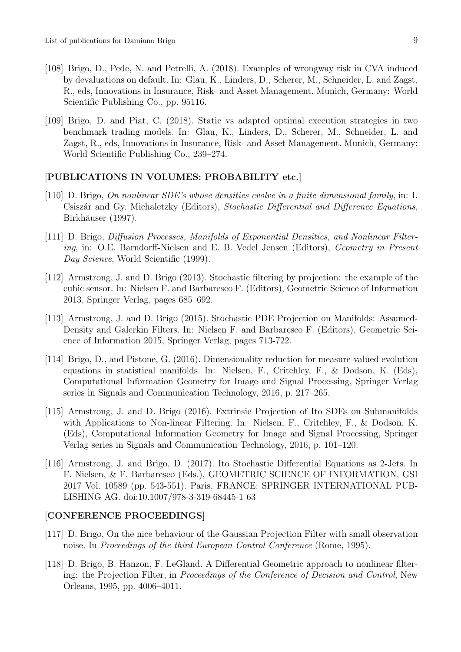- [108] Brigo, D., Pede, N. and Petrelli, A. (2018). Examples of wrongway risk in CVA induced by devaluations on default. In: Glau, K., Linders, D., Scherer, M., Schneider, L. and Zagst, R., eds, Innovations in Insurance, Risk- and Asset Management. Munich, Germany: World Scientific Publishing Co., pp. 95116.
- [109] Brigo, D. and Piat, C. (2018). Static vs adapted optimal execution strategies in two benchmark trading models. In: Glau, K., Linders, D., Scherer, M., Schneider, L. and Zagst, R., eds, Innovations in Insurance, Risk- and Asset Management. Munich, Germany: World Scientific Publishing Co., 239–274.

## [PUBLICATIONS IN VOLUMES: PROBABILITY etc.]

- [110] D. Brigo, On nonlinear SDE's whose densities evolve in a finite dimensional family, in: I. Csiszár and Gy. Michaletzky (Editors), Stochastic Differential and Difference Equations, Birkhäuser (1997).
- [111] D. Brigo, Diffusion Processes, Manifolds of Exponential Densities, and Nonlinear Filtering, in: O.E. Barndorff-Nielsen and E. B. Vedel Jensen (Editors), Geometry in Present Day Science, World Scientific (1999).
- [112] Armstrong, J. and D. Brigo (2013). Stochastic filtering by projection: the example of the cubic sensor. In: Nielsen F. and Barbaresco F. (Editors), Geometric Science of Information 2013, Springer Verlag, pages 685–692.
- [113] Armstrong, J. and D. Brigo (2015). Stochastic PDE Projection on Manifolds: Assumed-Density and Galerkin Filters. In: Nielsen F. and Barbaresco F. (Editors), Geometric Science of Information 2015, Springer Verlag, pages 713-722.
- [114] Brigo, D., and Pistone, G. (2016). Dimensionality reduction for measure-valued evolution equations in statistical manifolds. In: Nielsen, F., Critchley, F., & Dodson, K. (Eds), Computational Information Geometry for Image and Signal Processing, Springer Verlag series in Signals and Communication Technology, 2016, p. 217–265.
- [115] Armstrong, J. and D. Brigo (2016). Extrinsic Projection of Ito SDEs on Submanifolds with Applications to Non-linear Filtering. In: Nielsen, F., Critchley, F., & Dodson, K. (Eds), Computational Information Geometry for Image and Signal Processing, Springer Verlag series in Signals and Communication Technology, 2016, p. 101–120.
- [116] Armstrong, J. and Brigo, D. (2017). Ito Stochastic Differential Equations as 2-Jets. In F. Nielsen, & F. Barbaresco (Eds.), GEOMETRIC SCIENCE OF INFORMATION, GSI 2017 Vol. 10589 (pp. 543-551). Paris, FRANCE: SPRINGER INTERNATIONAL PUB-LISHING AG. doi:10.1007/978-3-319-68445-1 63

## [CONFERENCE PROCEEDINGS]

- [117] D. Brigo, On the nice behaviour of the Gaussian Projection Filter with small observation noise. In Proceedings of the third European Control Conference (Rome, 1995).
- [118] D. Brigo, B. Hanzon, F. LeGland. A Differential Geometric approach to nonlinear filtering: the Projection Filter, in Proceedings of the Conference of Decision and Control, New Orleans, 1995, pp. 4006–4011.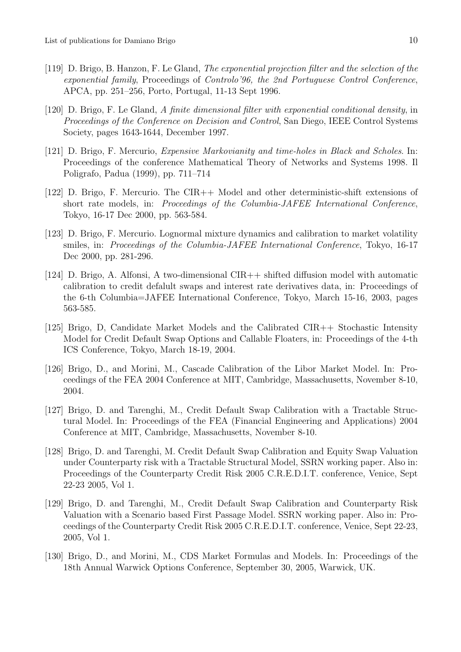- [119] D. Brigo, B. Hanzon, F. Le Gland, The exponential projection filter and the selection of the exponential family, Proceedings of Controlo'96, the 2nd Portuguese Control Conference, APCA, pp. 251–256, Porto, Portugal, 11-13 Sept 1996.
- [120] D. Brigo, F. Le Gland, A finite dimensional filter with exponential conditional density, in Proceedings of the Conference on Decision and Control, San Diego, IEEE Control Systems Society, pages 1643-1644, December 1997.
- [121] D. Brigo, F. Mercurio, Expensive Markovianity and time-holes in Black and Scholes. In: Proceedings of the conference Mathematical Theory of Networks and Systems 1998. Il Poligrafo, Padua (1999), pp. 711–714
- [122] D. Brigo, F. Mercurio. The CIR++ Model and other deterministic-shift extensions of short rate models, in: Proceedings of the Columbia-JAFEE International Conference, Tokyo, 16-17 Dec 2000, pp. 563-584.
- [123] D. Brigo, F. Mercurio. Lognormal mixture dynamics and calibration to market volatility smiles, in: Proceedings of the Columbia-JAFEE International Conference, Tokyo, 16-17 Dec 2000, pp. 281-296.
- [124] D. Brigo, A. Alfonsi, A two-dimensional CIR++ shifted diffusion model with automatic calibration to credit defalult swaps and interest rate derivatives data, in: Proceedings of the 6-th Columbia=JAFEE International Conference, Tokyo, March 15-16, 2003, pages 563-585.
- [125] Brigo, D, Candidate Market Models and the Calibrated CIR++ Stochastic Intensity Model for Credit Default Swap Options and Callable Floaters, in: Proceedings of the 4-th ICS Conference, Tokyo, March 18-19, 2004.
- [126] Brigo, D., and Morini, M., Cascade Calibration of the Libor Market Model. In: Proceedings of the FEA 2004 Conference at MIT, Cambridge, Massachusetts, November 8-10, 2004.
- [127] Brigo, D. and Tarenghi, M., Credit Default Swap Calibration with a Tractable Structural Model. In: Proceedings of the FEA (Financial Engineering and Applications) 2004 Conference at MIT, Cambridge, Massachusetts, November 8-10.
- [128] Brigo, D. and Tarenghi, M. Credit Default Swap Calibration and Equity Swap Valuation under Counterparty risk with a Tractable Structural Model, SSRN working paper. Also in: Proceedings of the Counterparty Credit Risk 2005 C.R.E.D.I.T. conference, Venice, Sept 22-23 2005, Vol 1.
- [129] Brigo, D. and Tarenghi, M., Credit Default Swap Calibration and Counterparty Risk Valuation with a Scenario based First Passage Model. SSRN working paper. Also in: Proceedings of the Counterparty Credit Risk 2005 C.R.E.D.I.T. conference, Venice, Sept 22-23, 2005, Vol 1.
- [130] Brigo, D., and Morini, M., CDS Market Formulas and Models. In: Proceedings of the 18th Annual Warwick Options Conference, September 30, 2005, Warwick, UK.